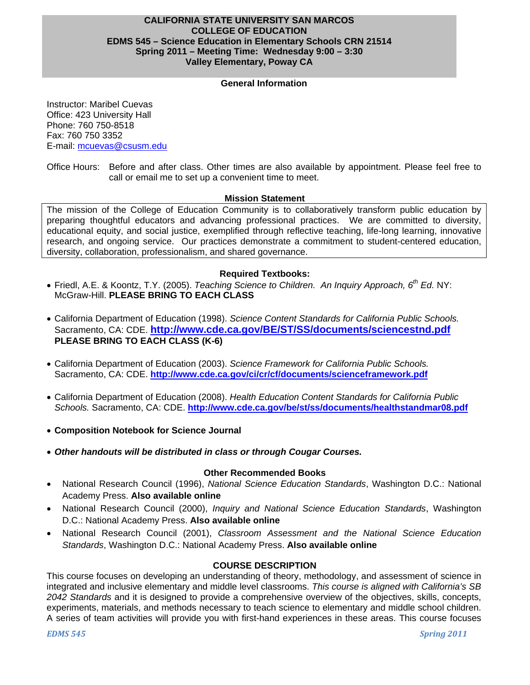## **CALIFORNIA STATE UNIVERSITY SAN MARCOS COLLEGE OF EDUCATION EDMS 545 – Science Education in Elementary Schools CRN 21514 Spring 2011 – Meeting Time: Wednesday 9:00 – 3:30 Valley Elementary, Poway CA**

## **General Information**

Instructor: Maribel Cuevas Office: 423 University Hall Phone: 760 750-8518 Fax: 760 750 3352 E-mail: mcuevas@csusm.edu

Office Hours: Before and after class. Other times are also available by appointment. Please feel free to call or email me to set up a convenient time to meet.

#### **Mission Statement**

The mission of the College of Education Community is to collaboratively transform public education by preparing thoughtful educators and advancing professional practices. We are committed to diversity, educational equity, and social justice, exemplified through reflective teaching, life-long learning, innovative research, and ongoing service. Our practices demonstrate a commitment to student-centered education, diversity, collaboration, professionalism, and shared governance.

## **Required Textbooks:**

- Friedl, A.E. & Koontz, T.Y. (2005). *Teaching Science to Children. An Inquiry Approach, 6th Ed.* NY: McGraw-Hill. **PLEASE BRING TO EACH CLASS**
- California Department of Education (1998). *Science Content Standards for California Public Schools.*  Sacramento, CA: CDE. **http://www.cde.ca.gov/BE/ST/SS/documents/sciencestnd.pdf PLEASE BRING TO EACH CLASS (K-6)**
- California Department of Education (2003). *Science Framework for California Public Schools.*  Sacramento, CA: CDE. **http://www.cde.ca.gov/ci/cr/cf/documents/scienceframework.pdf**
- California Department of Education (2008). *Health Education Content Standards for California Public Schools.* Sacramento, CA: CDE. **http://www.cde.ca.gov/be/st/ss/documents/healthstandmar08.pdf**
- **Composition Notebook for Science Journal**
- *Other handouts will be distributed in class or through Cougar Courses.*

#### **Other Recommended Books**

- National Research Council (1996), *National Science Education Standards*, Washington D.C.: National Academy Press. **Also available online**
- National Research Council (2000), *Inquiry and National Science Education Standards*, Washington D.C.: National Academy Press. **Also available online**
- National Research Council (2001), *Classroom Assessment and the National Science Education Standards*, Washington D.C.: National Academy Press. **Also available online**

## **COURSE DESCRIPTION**

This course focuses on developing an understanding of theory, methodology, and assessment of science in integrated and inclusive elementary and middle level classrooms. *This course is aligned with California's SB 2042 Standards* and it is designed to provide a comprehensive overview of the objectives, skills, concepts, experiments, materials, and methods necessary to teach science to elementary and middle school children. A series of team activities will provide you with first-hand experiences in these areas. This course focuses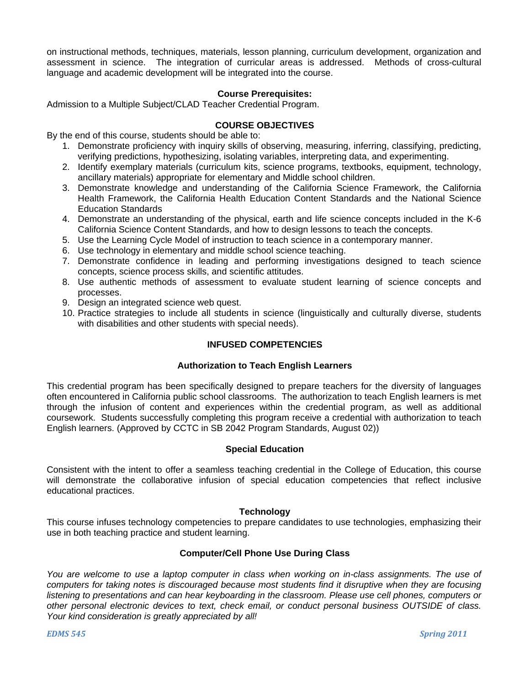on instructional methods, techniques, materials, lesson planning, curriculum development, organization and assessment in science. The integration of curricular areas is addressed. Methods of cross-cultural language and academic development will be integrated into the course.

#### **Course Prerequisites:**

Admission to a Multiple Subject/CLAD Teacher Credential Program.

#### **COURSE OBJECTIVES**

By the end of this course, students should be able to:

- 1. Demonstrate proficiency with inquiry skills of observing, measuring, inferring, classifying, predicting, verifying predictions, hypothesizing, isolating variables, interpreting data, and experimenting.
- 2. Identify exemplary materials (curriculum kits, science programs, textbooks, equipment, technology, ancillary materials) appropriate for elementary and Middle school children.
- 3. Demonstrate knowledge and understanding of the California Science Framework, the California Health Framework, the California Health Education Content Standards and the National Science Education Standards
- 4. Demonstrate an understanding of the physical, earth and life science concepts included in the K-6 California Science Content Standards, and how to design lessons to teach the concepts.
- 5. Use the Learning Cycle Model of instruction to teach science in a contemporary manner.
- 6. Use technology in elementary and middle school science teaching.
- 7. Demonstrate confidence in leading and performing investigations designed to teach science concepts, science process skills, and scientific attitudes.
- 8. Use authentic methods of assessment to evaluate student learning of science concepts and processes.
- 9. Design an integrated science web quest.
- 10. Practice strategies to include all students in science (linguistically and culturally diverse, students with disabilities and other students with special needs).

## **INFUSED COMPETENCIES**

#### **Authorization to Teach English Learners**

This credential program has been specifically designed to prepare teachers for the diversity of languages often encountered in California public school classrooms. The authorization to teach English learners is met through the infusion of content and experiences within the credential program, as well as additional coursework. Students successfully completing this program receive a credential with authorization to teach English learners. (Approved by CCTC in SB 2042 Program Standards, August 02))

#### **Special Education**

Consistent with the intent to offer a seamless teaching credential in the College of Education, this course will demonstrate the collaborative infusion of special education competencies that reflect inclusive educational practices.

#### **Technology**

This course infuses technology competencies to prepare candidates to use technologies, emphasizing their use in both teaching practice and student learning.

## **Computer/Cell Phone Use During Class**

*You are welcome to use a laptop computer in class when working on in-class assignments. The use of computers for taking notes is discouraged because most students find it disruptive when they are focusing listening to presentations and can hear keyboarding in the classroom. Please use cell phones, computers or other personal electronic devices to text, check email, or conduct personal business OUTSIDE of class. Your kind consideration is greatly appreciated by all!*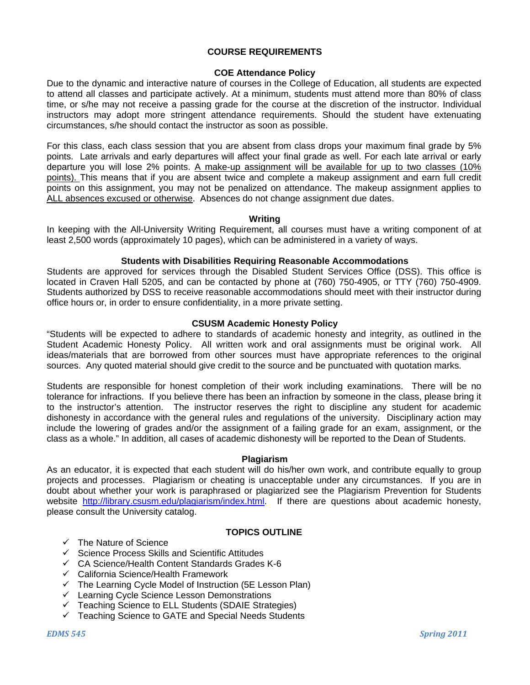## **COURSE REQUIREMENTS**

## **COE Attendance Policy**

Due to the dynamic and interactive nature of courses in the College of Education, all students are expected to attend all classes and participate actively. At a minimum, students must attend more than 80% of class time, or s/he may not receive a passing grade for the course at the discretion of the instructor. Individual instructors may adopt more stringent attendance requirements. Should the student have extenuating circumstances, s/he should contact the instructor as soon as possible.

For this class, each class session that you are absent from class drops your maximum final grade by 5% points. Late arrivals and early departures will affect your final grade as well. For each late arrival or early departure you will lose 2% points. A make-up assignment will be available for up to two classes (10% points). This means that if you are absent twice and complete a makeup assignment and earn full credit points on this assignment, you may not be penalized on attendance. The makeup assignment applies to ALL absences excused or otherwise. Absences do not change assignment due dates.

#### **Writing**

In keeping with the All-University Writing Requirement, all courses must have a writing component of at least 2,500 words (approximately 10 pages), which can be administered in a variety of ways.

#### **Students with Disabilities Requiring Reasonable Accommodations**

Students are approved for services through the Disabled Student Services Office (DSS). This office is located in Craven Hall 5205, and can be contacted by phone at (760) 750-4905, or TTY (760) 750-4909. Students authorized by DSS to receive reasonable accommodations should meet with their instructor during office hours or, in order to ensure confidentiality, in a more private setting.

#### **CSUSM Academic Honesty Policy**

"Students will be expected to adhere to standards of academic honesty and integrity, as outlined in the Student Academic Honesty Policy. All written work and oral assignments must be original work. All ideas/materials that are borrowed from other sources must have appropriate references to the original sources. Any quoted material should give credit to the source and be punctuated with quotation marks.

Students are responsible for honest completion of their work including examinations. There will be no tolerance for infractions. If you believe there has been an infraction by someone in the class, please bring it to the instructor's attention. The instructor reserves the right to discipline any student for academic dishonesty in accordance with the general rules and regulations of the university. Disciplinary action may include the lowering of grades and/or the assignment of a failing grade for an exam, assignment, or the class as a whole." In addition, all cases of academic dishonesty will be reported to the Dean of Students.

#### **Plagiarism**

As an educator, it is expected that each student will do his/her own work, and contribute equally to group projects and processes. Plagiarism or cheating is unacceptable under any circumstances. If you are in doubt about whether your work is paraphrased or plagiarized see the Plagiarism Prevention for Students website http://library.csusm.edu/plagiarism/index.html. If there are questions about academic honesty, please consult the University catalog.

## **TOPICS OUTLINE**

- $\checkmark$  The Nature of Science
- $\checkmark$  Science Process Skills and Scientific Attitudes
- $\checkmark$  CA Science/Health Content Standards Grades K-6
- $\checkmark$  California Science/Health Framework
- $\checkmark$  The Learning Cycle Model of Instruction (5E Lesson Plan)
- $\checkmark$  Learning Cycle Science Lesson Demonstrations
- $\checkmark$  Teaching Science to ELL Students (SDAIE Strategies)
- $\checkmark$  Teaching Science to GATE and Special Needs Students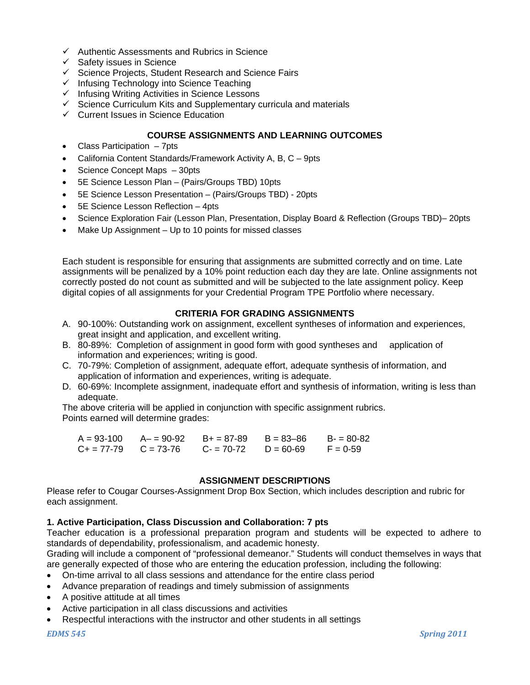- $\checkmark$  Authentic Assessments and Rubrics in Science
- $\checkmark$  Safety issues in Science
- $\checkmark$  Science Projects, Student Research and Science Fairs
- $\checkmark$  Infusing Technology into Science Teaching
- $\checkmark$  Infusing Writing Activities in Science Lessons
- $\checkmark$  Science Curriculum Kits and Supplementary curricula and materials
- $\checkmark$  Current Issues in Science Education

## **COURSE ASSIGNMENTS AND LEARNING OUTCOMES**

- Class Participation 7pts
- California Content Standards/Framework Activity A, B, C 9pts
- Science Concept Maps 30pts
- 5E Science Lesson Plan (Pairs/Groups TBD) 10pts
- 5E Science Lesson Presentation (Pairs/Groups TBD) 20pts
- 5E Science Lesson Reflection 4pts
- Science Exploration Fair (Lesson Plan, Presentation, Display Board & Reflection (Groups TBD)– 20pts
- Make Up Assignment Up to 10 points for missed classes

Each student is responsible for ensuring that assignments are submitted correctly and on time. Late assignments will be penalized by a 10% point reduction each day they are late. Online assignments not correctly posted do not count as submitted and will be subjected to the late assignment policy. Keep digital copies of all assignments for your Credential Program TPE Portfolio where necessary.

## **CRITERIA FOR GRADING ASSIGNMENTS**

- A. 90-100%: Outstanding work on assignment, excellent syntheses of information and experiences, great insight and application, and excellent writing.
- B. 80-89%: Completion of assignment in good form with good syntheses and application of information and experiences; writing is good.
- C. 70-79%: Completion of assignment, adequate effort, adequate synthesis of information, and application of information and experiences, writing is adequate.
- D. 60-69%: Incomplete assignment, inadequate effort and synthesis of information, writing is less than adequate.

The above criteria will be applied in conjunction with specific assignment rubrics. Points earned will determine grades:

| $A = 93 - 100$            | A- = 90-92 B+ = 87-89 | $B = 83 - 86$ | $B = 80-82$ |
|---------------------------|-----------------------|---------------|-------------|
| $C_+ = 77-79$ $C = 73-76$ | $C = 70-72$           | $D = 60-69$   | $F = 0.59$  |

#### **ASSIGNMENT DESCRIPTIONS**

Please refer to Cougar Courses-Assignment Drop Box Section, which includes description and rubric for each assignment.

#### **1. Active Participation, Class Discussion and Collaboration: 7 pts**

Teacher education is a professional preparation program and students will be expected to adhere to standards of dependability, professionalism, and academic honesty.

Grading will include a component of "professional demeanor." Students will conduct themselves in ways that are generally expected of those who are entering the education profession, including the following:

- On-time arrival to all class sessions and attendance for the entire class period
- Advance preparation of readings and timely submission of assignments
- A positive attitude at all times
- Active participation in all class discussions and activities
- Respectful interactions with the instructor and other students in all settings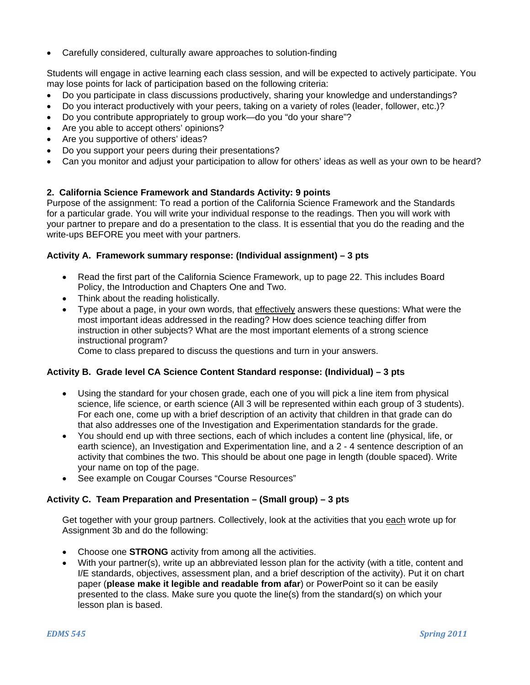Carefully considered, culturally aware approaches to solution-finding

Students will engage in active learning each class session, and will be expected to actively participate. You may lose points for lack of participation based on the following criteria:

- Do you participate in class discussions productively, sharing your knowledge and understandings?
- Do you interact productively with your peers, taking on a variety of roles (leader, follower, etc.)?
- Do you contribute appropriately to group work—do you "do your share"?
- Are you able to accept others' opinions?
- Are you supportive of others' ideas?
- Do you support your peers during their presentations?
- Can you monitor and adjust your participation to allow for others' ideas as well as your own to be heard?

## **2. California Science Framework and Standards Activity: 9 points**

Purpose of the assignment: To read a portion of the California Science Framework and the Standards for a particular grade. You will write your individual response to the readings. Then you will work with your partner to prepare and do a presentation to the class. It is essential that you do the reading and the write-ups BEFORE you meet with your partners.

## **Activity A. Framework summary response: (Individual assignment) – 3 pts**

- Read the first part of the California Science Framework, up to page 22. This includes Board Policy, the Introduction and Chapters One and Two.
- Think about the reading holistically.
- Type about a page, in your own words, that effectively answers these questions: What were the most important ideas addressed in the reading? How does science teaching differ from instruction in other subjects? What are the most important elements of a strong science instructional program?

Come to class prepared to discuss the questions and turn in your answers.

## **Activity B. Grade level CA Science Content Standard response: (Individual) – 3 pts**

- Using the standard for your chosen grade, each one of you will pick a line item from physical science, life science, or earth science (All 3 will be represented within each group of 3 students). For each one, come up with a brief description of an activity that children in that grade can do that also addresses one of the Investigation and Experimentation standards for the grade.
- You should end up with three sections, each of which includes a content line (physical, life, or earth science), an Investigation and Experimentation line, and a 2 - 4 sentence description of an activity that combines the two. This should be about one page in length (double spaced). Write your name on top of the page.
- See example on Cougar Courses "Course Resources"

## **Activity C. Team Preparation and Presentation – (Small group) – 3 pts**

Get together with your group partners. Collectively, look at the activities that you each wrote up for Assignment 3b and do the following:

- Choose one **STRONG** activity from among all the activities.
- With your partner(s), write up an abbreviated lesson plan for the activity (with a title, content and I/E standards, objectives, assessment plan, and a brief description of the activity). Put it on chart paper (**please make it legible and readable from afar**) or PowerPoint so it can be easily presented to the class. Make sure you quote the line(s) from the standard(s) on which your lesson plan is based.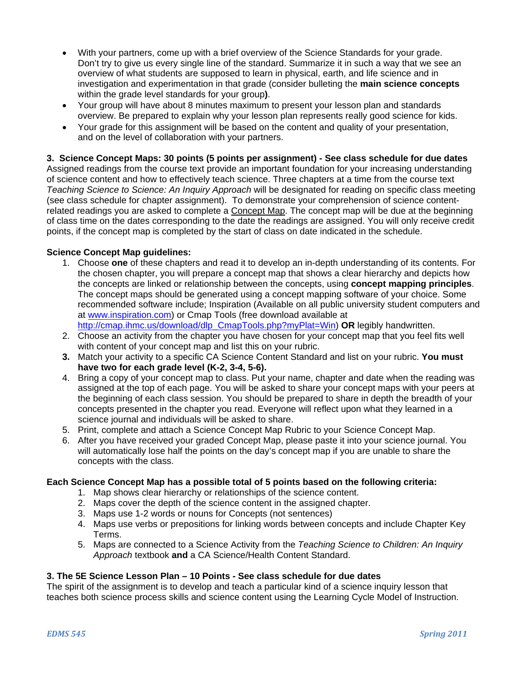- With your partners, come up with a brief overview of the Science Standards for your grade. Don't try to give us every single line of the standard. Summarize it in such a way that we see an overview of what students are supposed to learn in physical, earth, and life science and in investigation and experimentation in that grade (consider bulleting the **main science concepts**  within the grade level standards for your group**)**.
- Your group will have about 8 minutes maximum to present your lesson plan and standards overview. Be prepared to explain why your lesson plan represents really good science for kids.
- Your grade for this assignment will be based on the content and quality of your presentation, and on the level of collaboration with your partners.

## **3. Science Concept Maps: 30 points (5 points per assignment) - See class schedule for due dates**

Assigned readings from the course text provide an important foundation for your increasing understanding of science content and how to effectively teach science. Three chapters at a time from the course text *Teaching Science to Science: An Inquiry Approach* will be designated for reading on specific class meeting (see class schedule for chapter assignment). To demonstrate your comprehension of science contentrelated readings you are asked to complete a Concept Map. The concept map will be due at the beginning of class time on the dates corresponding to the date the readings are assigned. You will only receive credit points, if the concept map is completed by the start of class on date indicated in the schedule.

## **Science Concept Map guidelines:**

- 1. Choose **one** of these chapters and read it to develop an in-depth understanding of its contents. For the chosen chapter, you will prepare a concept map that shows a clear hierarchy and depicts how the concepts are linked or relationship between the concepts, using **concept mapping principles**. The concept maps should be generated using a concept mapping software of your choice. Some recommended software include; Inspiration (Available on all public university student computers and at www.inspiration.com) or Cmap Tools (free download available at http://cmap.ihmc.us/download/dlp\_CmapTools.php?myPlat=Win) **OR** legibly handwritten.
- 2. Choose an activity from the chapter you have chosen for your concept map that you feel fits well with content of your concept map and list this on your rubric.
- **3.** Match your activity to a specific CA Science Content Standard and list on your rubric. **You must have two for each grade level (K-2, 3-4, 5-6).**
- 4. Bring a copy of your concept map to class. Put your name, chapter and date when the reading was assigned at the top of each page. You will be asked to share your concept maps with your peers at the beginning of each class session. You should be prepared to share in depth the breadth of your concepts presented in the chapter you read. Everyone will reflect upon what they learned in a science journal and individuals will be asked to share.
- 5. Print, complete and attach a Science Concept Map Rubric to your Science Concept Map.
- 6. After you have received your graded Concept Map, please paste it into your science journal. You will automatically lose half the points on the day's concept map if you are unable to share the concepts with the class.

#### **Each Science Concept Map has a possible total of 5 points based on the following criteria:**

- 1. Map shows clear hierarchy or relationships of the science content.
- 2. Maps cover the depth of the science content in the assigned chapter.
- 3. Maps use 1-2 words or nouns for Concepts (not sentences)
- 4. Maps use verbs or prepositions for linking words between concepts and include Chapter Key Terms.
- 5. Maps are connected to a Science Activity from the *Teaching Science to Children: An Inquiry Approach* textbook **and** a CA Science/Health Content Standard.

#### **3. The 5E Science Lesson Plan – 10 Points** *-* **See class schedule for due dates**

The spirit of the assignment is to develop and teach a particular kind of a science inquiry lesson that teaches both science process skills and science content using the Learning Cycle Model of Instruction.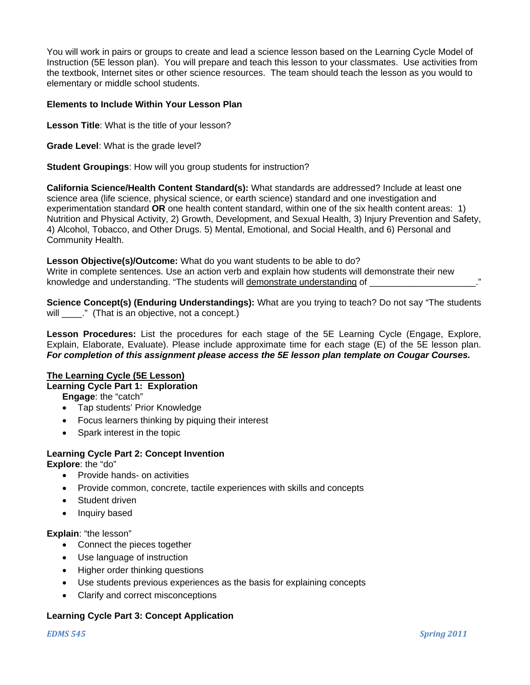You will work in pairs or groups to create and lead a science lesson based on the Learning Cycle Model of Instruction (5E lesson plan). You will prepare and teach this lesson to your classmates. Use activities from the textbook, Internet sites or other science resources. The team should teach the lesson as you would to elementary or middle school students.

## **Elements to Include Within Your Lesson Plan**

**Lesson Title**: What is the title of your lesson?

**Grade Level**: What is the grade level?

**Student Groupings**: How will you group students for instruction?

**California Science/Health Content Standard(s):** What standards are addressed? Include at least one science area (life science, physical science, or earth science) standard and one investigation and experimentation standard **OR** one health content standard, within one of the six health content areas: 1) Nutrition and Physical Activity, 2) Growth, Development, and Sexual Health, 3) Injury Prevention and Safety, 4) Alcohol, Tobacco, and Other Drugs. 5) Mental, Emotional, and Social Health, and 6) Personal and Community Health.

**Lesson Objective(s)/Outcome:** What do you want students to be able to do? Write in complete sentences. Use an action verb and explain how students will demonstrate their new knowledge and understanding. "The students will demonstrate understanding of

**Science Concept(s) (Enduring Understandings):** What are you trying to teach? Do not say "The students will \_\_\_\_." (That is an objective, not a concept.)

 Explain, Elaborate, Evaluate). Please include approximate time for each stage (E) of the 5E lesson plan. *For completion of this assignment please access the 5E lesson plan template on Cougar Courses.* **Lesson Procedures:** List the procedures for each stage of the 5E Learning Cycle (Engage, Explore,

## **The Learning Cycle (5E Lesson)**

**Learning Cycle Part 1: Exploration** 

**Engage**: the "catch"

- Tap students' Prior Knowledge
- Focus learners thinking by piquing their interest
- Spark interest in the topic

# **Learning Cycle Part 2: Concept Invention**

**Explore**: the "do"

- Provide hands- on activities
- Provide common, concrete, tactile experiences with skills and concepts
- Student driven
- Inquiry based

**Explain**: "the lesson"

- Connect the pieces together
- Use language of instruction
- Higher order thinking questions
- Use students previous experiences as the basis for explaining concepts
- Clarify and correct misconceptions

## **Learning Cycle Part 3: Concept Application**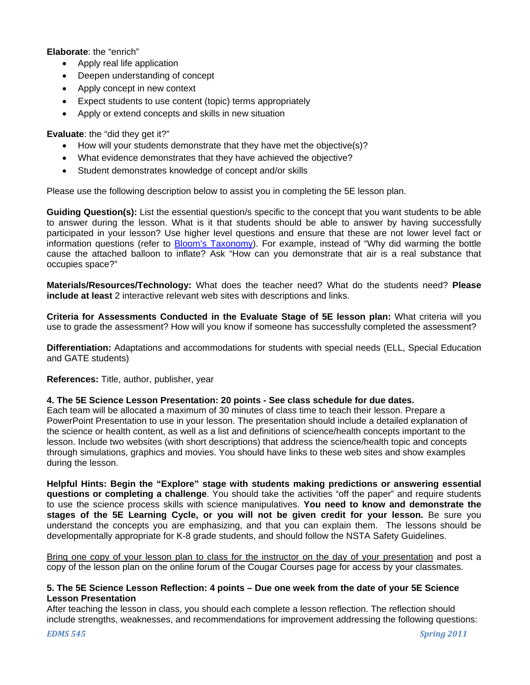**Elaborate**: the "enrich"

- Apply real life application
- Deepen understanding of concept
- Apply concept in new context
- Expect students to use content (topic) terms appropriately
- Apply or extend concepts and skills in new situation

**Evaluate**: the "did they get it?"

- How will your students demonstrate that they have met the objective(s)?
- What evidence demonstrates that they have achieved the objective?
- Student demonstrates knowledge of concept and/or skills

Please use the following description below to assist you in completing the 5E lesson plan.

**Guiding Question(s):** List the essential question/s specific to the concept that you want students to be able to answer during the lesson. What is it that students should be able to answer by having successfully participated in your lesson? Use higher level questions and ensure that these are not lower level fact or information questions (refer to Bloom's Taxonomy). For example, instead of "Why did warming the bottle cause the attached balloon to inflate? Ask "How can you demonstrate that air is a real substance that occupies space?"

**Materials/Resources/Technology:** What does the teacher need? What do the students need? **Please include at least** 2 interactive relevant web sites with descriptions and links.

**Criteria for Assessments Conducted in the Evaluate Stage of 5E lesson plan:** What criteria will you use to grade the assessment? How will you know if someone has successfully completed the assessment?

**Differentiation:** Adaptations and accommodations for students with special needs (ELL, Special Education and GATE students)

**References:** Title, author, publisher, year

#### **4. The 5E Science Lesson Presentation: 20 points - See class schedule for due dates.**

Each team will be allocated a maximum of 30 minutes of class time to teach their lesson. Prepare a PowerPoint Presentation to use in your lesson. The presentation should include a detailed explanation of the science or health content, as well as a list and definitions of science/health concepts important to the lesson. Include two websites (with short descriptions) that address the science/health topic and concepts through simulations, graphics and movies. You should have links to these web sites and show examples during the lesson.

**Helpful Hints: Begin the "Explore" stage with students making predictions or answering essential questions or completing a challenge**. You should take the activities "off the paper" and require students to use the science process skills with science manipulatives. **You need to know and demonstrate the stages of the 5E Learning Cycle, or you will not be given credit for your lesson.** Be sure you understand the concepts you are emphasizing, and that you can explain them. The lessons should be developmentally appropriate for K-8 grade students, and should follow the NSTA Safety Guidelines.

Bring one copy of your lesson plan to class for the instructor on the day of your presentation and post a copy of the lesson plan on the online forum of the Cougar Courses page for access by your classmates.

#### **5. The 5E Science Lesson Reflection: 4 points – Due one week from the date of your 5E Science Lesson Presentation**

After teaching the lesson in class, you should each complete a lesson reflection. The reflection should include strengths, weaknesses, and recommendations for improvement addressing the following questions: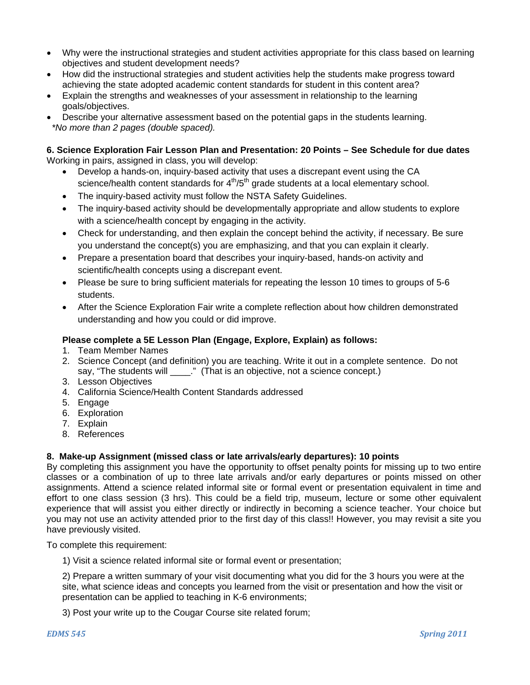- Why were the instructional strategies and student activities appropriate for this class based on learning objectives and student development needs?
- How did the instructional strategies and student activities help the students make progress toward achieving the state adopted academic content standards for student in this content area?
- Explain the strengths and weaknesses of your assessment in relationship to the learning goals/objectives.
- Describe your alternative assessment based on the potential gaps in the students learning. *\*No more than 2 pages (double spaced).*

### **6. Science Exploration Fair Lesson Plan and Presentation: 20 Points – See Schedule for due dates**  Working in pairs, assigned in class, you will develop:

- Develop a hands-on, inquiry-based activity that uses a discrepant event using the CA science/health content standards for  $4<sup>th</sup>/5<sup>th</sup>$  grade students at a local elementary school.
- The inquiry-based activity must follow the NSTA Safety Guidelines.
- The inquiry-based activity should be developmentally appropriate and allow students to explore with a science/health concept by engaging in the activity.
- Check for understanding, and then explain the concept behind the activity, if necessary. Be sure you understand the concept(s) you are emphasizing, and that you can explain it clearly.
- Prepare a presentation board that describes your inquiry-based, hands-on activity and scientific/health concepts using a discrepant event.
- Please be sure to bring sufficient materials for repeating the lesson 10 times to groups of 5-6 students.
- After the Science Exploration Fair write a complete reflection about how children demonstrated understanding and how you could or did improve.

## **Please complete a 5E Lesson Plan (Engage, Explore, Explain) as follows:**

- 1. Team Member Names
- 2. Science Concept (and definition) you are teaching. Write it out in a complete sentence. Do not say, "The students will \_\_\_\_." (That is an objective, not a science concept.)
- 3. Lesson Objectives
- 4. California Science/Health Content Standards addressed
- 5. Engage
- 6. Exploration
- 7. Explain
- 8. References

# **8. Make-up Assignment (missed class or late arrivals/early departures): 10 points**

By completing this assignment you have the opportunity to offset penalty points for missing up to two entire classes or a combination of up to three late arrivals and/or early departures or points missed on other assignments. Attend a science related informal site or formal event or presentation equivalent in time and effort to one class session (3 hrs). This could be a field trip, museum, lecture or some other equivalent experience that will assist you either directly or indirectly in becoming a science teacher. Your choice but you may not use an activity attended prior to the first day of this class!! However, you may revisit a site you have previously visited.

To complete this requirement:

1) Visit a science related informal site or formal event or presentation;

2) Prepare a written summary of your visit documenting what you did for the 3 hours you were at the site, what science ideas and concepts you learned from the visit or presentation and how the visit or presentation can be applied to teaching in K-6 environments;

3) Post your write up to the Cougar Course site related forum;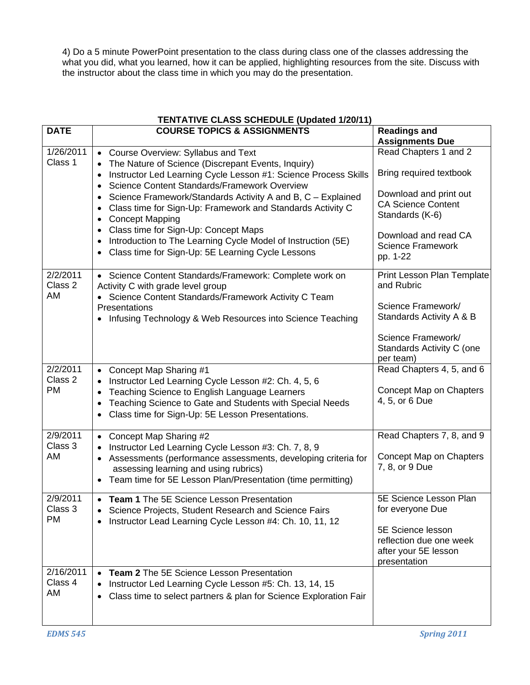4) Do a 5 minute PowerPoint presentation to the class during class one of the classes addressing the what you did, what you learned, how it can be applied, highlighting resources from the site. Discuss with the instructor about the class time in which you may do the presentation.

| <b>TENTATIVE CLASS SCHEDULE (Updated 1/20/11)</b> |                                                                                                                                                                                                                                                                                                     |                                                                                      |  |  |  |
|---------------------------------------------------|-----------------------------------------------------------------------------------------------------------------------------------------------------------------------------------------------------------------------------------------------------------------------------------------------------|--------------------------------------------------------------------------------------|--|--|--|
| <b>DATE</b>                                       | <b>COURSE TOPICS &amp; ASSIGNMENTS</b>                                                                                                                                                                                                                                                              | <b>Readings and</b><br><b>Assignments Due</b>                                        |  |  |  |
| 1/26/2011<br>Class 1                              | • Course Overview: Syllabus and Text<br>The Nature of Science (Discrepant Events, Inquiry)<br>Instructor Led Learning Cycle Lesson #1: Science Process Skills<br>$\bullet$<br>Science Content Standards/Framework Overview<br>$\bullet$                                                             | Read Chapters 1 and 2<br>Bring required textbook                                     |  |  |  |
|                                                   | Science Framework/Standards Activity A and B, C - Explained<br>$\bullet$<br>Class time for Sign-Up: Framework and Standards Activity C<br><b>Concept Mapping</b><br>$\bullet$                                                                                                                       | Download and print out<br><b>CA Science Content</b><br>Standards (K-6)               |  |  |  |
|                                                   | Class time for Sign-Up: Concept Maps<br>$\bullet$<br>Introduction to The Learning Cycle Model of Instruction (5E)<br>$\bullet$<br>Class time for Sign-Up: 5E Learning Cycle Lessons<br>$\bullet$                                                                                                    | Download and read CA<br><b>Science Framework</b><br>pp. 1-22                         |  |  |  |
| 2/2/2011<br>Class 2<br>AM                         | • Science Content Standards/Framework: Complete work on<br>Activity C with grade level group<br>• Science Content Standards/Framework Activity C Team                                                                                                                                               | Print Lesson Plan Template<br>and Rubric                                             |  |  |  |
|                                                   | Presentations<br>• Infusing Technology & Web Resources into Science Teaching                                                                                                                                                                                                                        | Science Framework/<br>Standards Activity A & B                                       |  |  |  |
|                                                   |                                                                                                                                                                                                                                                                                                     | Science Framework/<br>Standards Activity C (one<br>per team)                         |  |  |  |
| 2/2/2011<br>Class 2<br><b>PM</b>                  | Concept Map Sharing #1<br>$\bullet$<br>Instructor Led Learning Cycle Lesson #2: Ch. 4, 5, 6<br>$\bullet$<br>Teaching Science to English Language Learners<br>$\bullet$<br>Teaching Science to Gate and Students with Special Needs<br>$\bullet$<br>Class time for Sign-Up: 5E Lesson Presentations. | Read Chapters 4, 5, and 6<br>Concept Map on Chapters<br>4, 5, or 6 Due               |  |  |  |
| 2/9/2011<br>Class 3<br>AM                         | • Concept Map Sharing #2<br>Instructor Led Learning Cycle Lesson #3: Ch. 7, 8, 9<br>Assessments (performance assessments, developing criteria for<br>$\bullet$<br>assessing learning and using rubrics)<br>• Team time for 5E Lesson Plan/Presentation (time permitting)                            | Read Chapters 7, 8, and 9<br>Concept Map on Chapters<br>7, 8, or 9 Due               |  |  |  |
| 2/9/2011<br>Class 3<br><b>PM</b>                  | Team 1 The 5E Science Lesson Presentation<br>Science Projects, Student Research and Science Fairs<br>Instructor Lead Learning Cycle Lesson #4: Ch. 10, 11, 12<br>$\bullet$                                                                                                                          | 5E Science Lesson Plan<br>for everyone Due                                           |  |  |  |
|                                                   |                                                                                                                                                                                                                                                                                                     | 5E Science lesson<br>reflection due one week<br>after your 5E lesson<br>presentation |  |  |  |
| 2/16/2011<br>Class 4<br>AM                        | <b>Team 2</b> The 5E Science Lesson Presentation<br>Instructor Led Learning Cycle Lesson #5: Ch. 13, 14, 15<br>$\bullet$<br>Class time to select partners & plan for Science Exploration Fair<br>$\bullet$                                                                                          |                                                                                      |  |  |  |